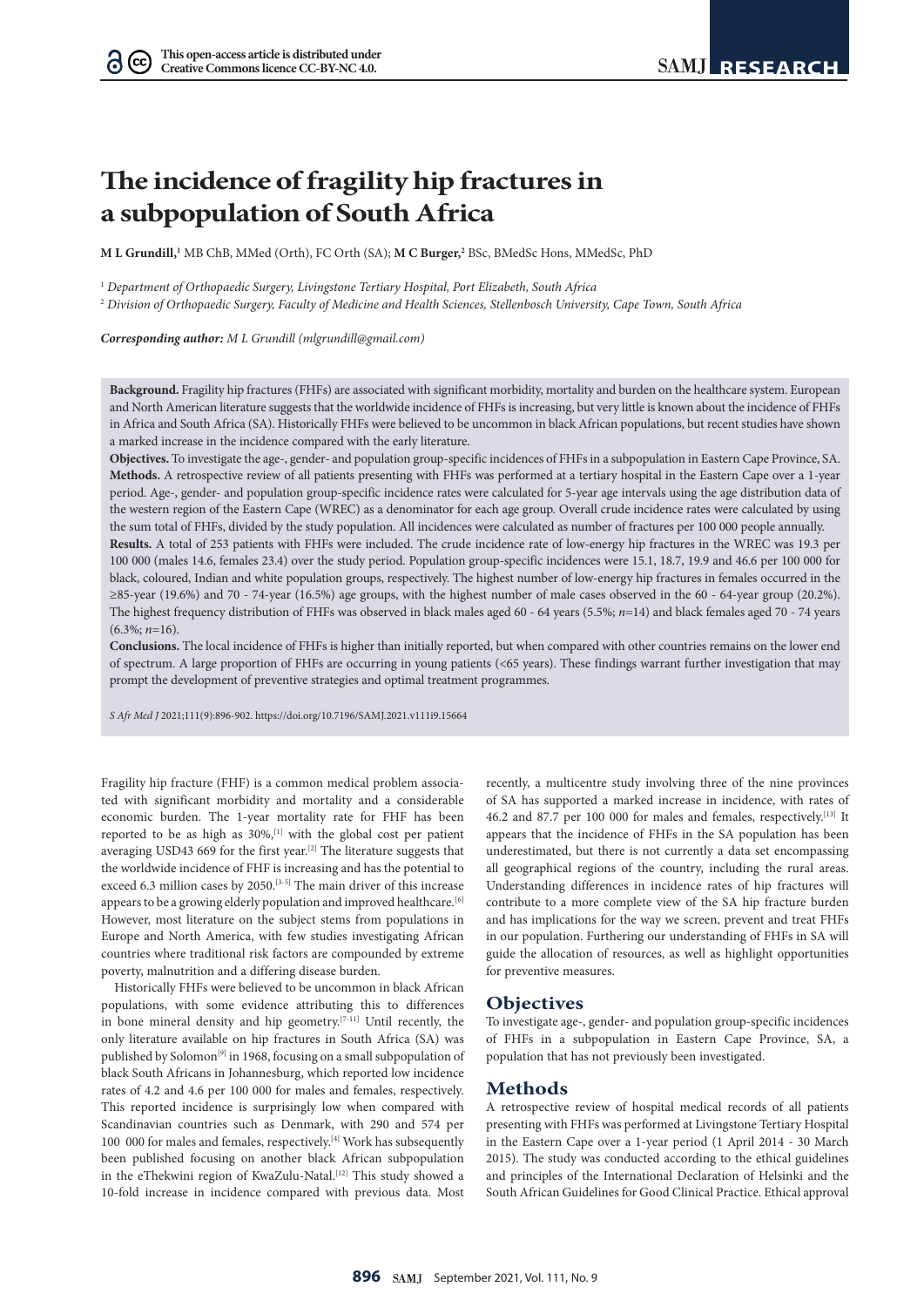$(cc)$ 

# **The incidence of fragility hip fractures in a subpopulation of South Africa**

 $\bf{M}$  **L** Grundill,<sup>1</sup> MB ChB, MMed (Orth), FC Orth (SA);  $\bf{M}$  **C Burger,**<sup>2</sup> BSc, BMedSc Hons, MMedSc, PhD

<sup>1</sup> *Department of Orthopaedic Surgery, Livingstone Tertiary Hospital, Port Elizabeth, South Africa*

<sup>2</sup> *Division of Orthopaedic Surgery, Faculty of Medicine and Health Sciences, Stellenbosch University, Cape Town, South Africa*

*Corresponding author: M L Grundill [\(mlgrundill@gmail.com\)](mailto:mlgrundill@gmail.com)*

**Background.** Fragility hip fractures (FHFs) are associated with significant morbidity, mortality and burden on the healthcare system. European and North American literature suggests that the worldwide incidence of FHFs is increasing, but very little is known about the incidence of FHFs in Africa and South Africa (SA). Historically FHFs were believed to be uncommon in black African populations, but recent studies have shown a marked increase in the incidence compared with the early literature.

**Objectives.** To investigate the age-, gender- and population group-specific incidences of FHFs in a subpopulation in Eastern Cape Province, SA. **Methods.** A retrospective review of all patients presenting with FHFs was performed at a tertiary hospital in the Eastern Cape over a 1-year period. Age-, gender- and population group-specific incidence rates were calculated for 5-year age intervals using the age distribution data of the western region of the Eastern Cape (WREC) as a denominator for each age group. Overall crude incidence rates were calculated by using the sum total of FHFs, divided by the study population. All incidences were calculated as number of fractures per 100 000 people annually.

**Results.** A total of 253 patients with FHFs were included. The crude incidence rate of low-energy hip fractures in the WREC was 19.3 per 100 000 (males 14.6, females 23.4) over the study period. Population group-specific incidences were 15.1, 18.7, 19.9 and 46.6 per 100 000 for black, coloured, Indian and white population groups, respectively. The highest number of low-energy hip fractures in females occurred in the ≥85-year (19.6%) and 70 - 74-year (16.5%) age groups, with the highest number of male cases observed in the 60 - 64-year group (20.2%). The highest frequency distribution of FHFs was observed in black males aged 60 - 64 years (5.5%; *n*=14) and black females aged 70 - 74 years (6.3%; *n*=16).

**Conclusions.** The local incidence of FHFs is higher than initially reported, but when compared with other countries remains on the lower end of spectrum. A large proportion of FHFs are occurring in young patients (<65 years). These findings warrant further investigation that may prompt the development of preventive strategies and optimal treatment programmes.

*S Afr Med J* 2021;111(9):896-902. <https://doi.org/10.7196/SAMJ.2021.v111i9.15664>

Fragility hip fracture (FHF) is a common medical problem associated with significant morbidity and mortality and a considerable economic burden. The 1-year mortality rate for FHF has been reported to be as high as 30%,<sup>[1]</sup> with the global cost per patient averaging USD43 669 for the first year.<sup>[2]</sup> The literature suggests that the worldwide incidence of FHF is increasing and has the potential to exceed 6.3 million cases by 2050.<sup>[3-5]</sup> The main driver of this increase appears to be a growing elderly population and improved healthcare.  $^{[6]}$ However, most literature on the subject stems from populations in Europe and North America, with few studies investigating African countries where traditional risk factors are compounded by extreme poverty, malnutrition and a differing disease burden.

Historically FHFs were believed to be uncommon in black African populations, with some evidence attributing this to differences in bone mineral density and hip geometry.<sup>[7-11]</sup> Until recently, the only literature available on hip fractures in South Africa (SA) was published by Solomon<sup>[9]</sup> in 1968, focusing on a small subpopulation of black South Africans in Johannesburg, which reported low incidence rates of 4.2 and 4.6 per 100 000 for males and females, respectively. This reported incidence is surprisingly low when compared with Scandinavian countries such as Denmark, with 290 and 574 per  $100\,$   $000$  for males and females, respectively.  $\rm ^{\rm [4]}$  Work has subsequently been published focusing on another black African subpopulation in the eThekwini region of KwaZulu-Natal.<sup>[12]</sup> This study showed a 10-fold increase in incidence compared with previous data. Most

recently, a multicentre study involving three of the nine provinces of SA has supported a marked increase in incidence, with rates of 46.2 and 87.7 per 100 000 for males and females, respectively.<sup>[13]</sup> It appears that the incidence of FHFs in the SA population has been underestimated, but there is not currently a data set encompassing all geographical regions of the country, including the rural areas. Understanding differences in incidence rates of hip fractures will contribute to a more complete view of the SA hip fracture burden and has implications for the way we screen, prevent and treat FHFs in our population. Furthering our understanding of FHFs in SA will guide the allocation of resources, as well as highlight opportunities for preventive measures.

# **Objectives**

To investigate age-, gender- and population group-specific incidences of FHFs in a subpopulation in Eastern Cape Province, SA, a population that has not previously been investigated.

# **Methods**

A retrospective review of hospital medical records of all patients presenting with FHFs was performed at Livingstone Tertiary Hospital in the Eastern Cape over a 1-year period (1 April 2014 - 30 March 2015). The study was conducted according to the ethical guidelines and principles of the International Declaration of Helsinki and the South African Guidelines for Good Clinical Practice. Ethical approval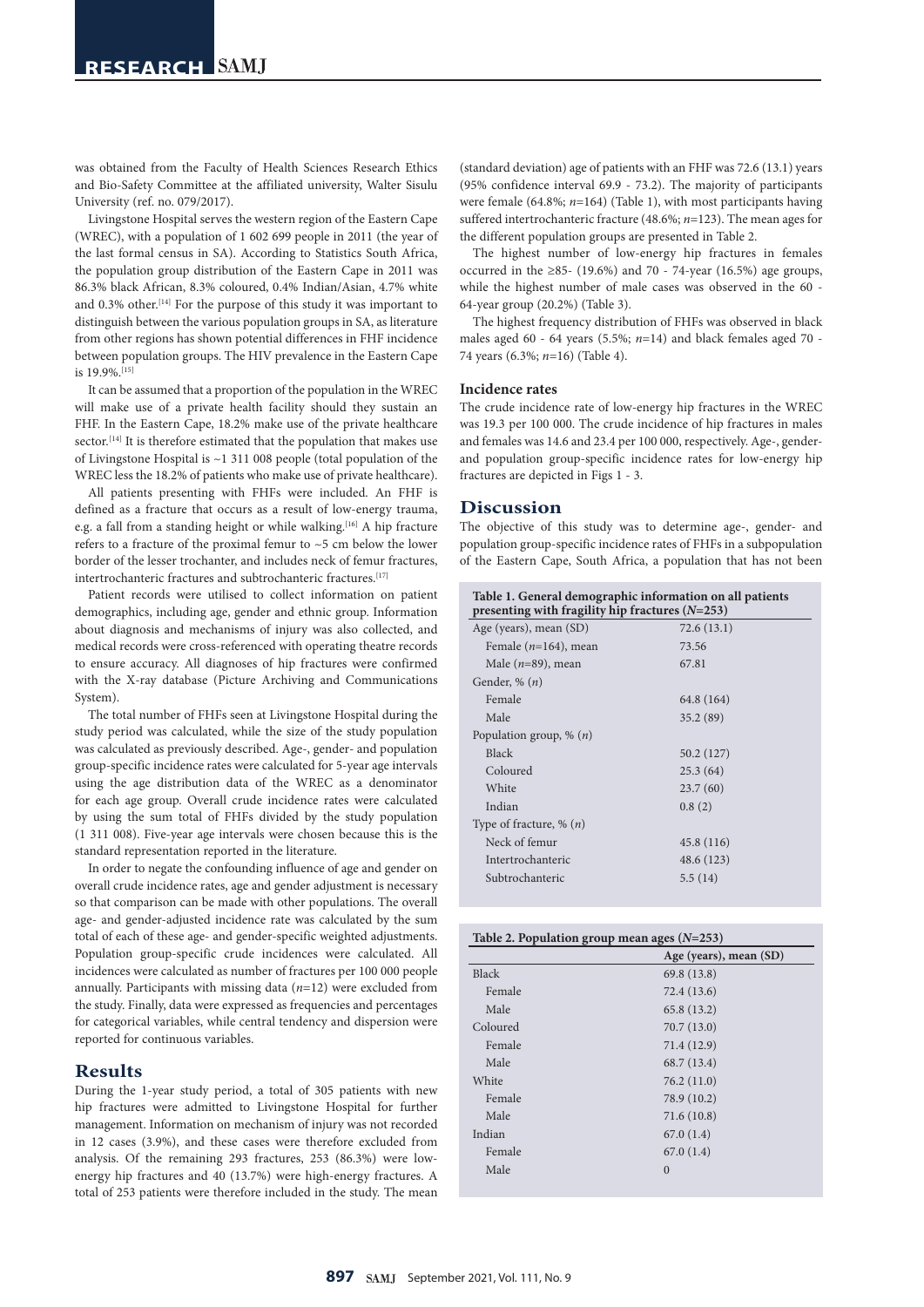was obtained from the Faculty of Health Sciences Research Ethics and Bio-Safety Committee at the affiliated university, Walter Sisulu University (ref. no. 079/2017).

Livingstone Hospital serves the western region of the Eastern Cape (WREC), with a population of 1 602 699 people in 2011 (the year of the last formal census in SA). According to Statistics South Africa, the population group distribution of the Eastern Cape in 2011 was 86.3% black African, 8.3% coloured, 0.4% Indian/Asian, 4.7% white and 0.3% other.<sup>[14]</sup> For the purpose of this study it was important to distinguish between the various population groups in SA, as literature from other regions has shown potential differences in FHF incidence between population groups. The HIV prevalence in the Eastern Cape is 19.9%.[15]

It can be assumed that a proportion of the population in the WREC will make use of a private health facility should they sustain an FHF. In the Eastern Cape, 18.2% make use of the private healthcare sector.<sup>[14]</sup> It is therefore estimated that the population that makes use of Livingstone Hospital is ~1 311 008 people (total population of the WREC less the 18.2% of patients who make use of private healthcare).

All patients presenting with FHFs were included. An FHF is defined as a fracture that occurs as a result of low-energy trauma, e.g. a fall from a standing height or while walking.<sup>[16]</sup> A hip fracture refers to a fracture of the proximal femur to ~5 cm below the lower border of the lesser trochanter, and includes neck of femur fractures, intertrochanteric fractures and subtrochanteric fractures.<sup>[17]</sup>

Patient records were utilised to collect information on patient demographics, including age, gender and ethnic group. Information about diagnosis and mechanisms of injury was also collected, and medical records were cross-referenced with operating theatre records to ensure accuracy. All diagnoses of hip fractures were confirmed with the X-ray database (Picture Archiving and Communications System).

The total number of FHFs seen at Livingstone Hospital during the study period was calculated, while the size of the study population was calculated as previously described. Age-, gender- and population group-specific incidence rates were calculated for 5-year age intervals using the age distribution data of the WREC as a denominator for each age group. Overall crude incidence rates were calculated by using the sum total of FHFs divided by the study population (1 311 008). Five-year age intervals were chosen because this is the standard representation reported in the literature.

In order to negate the confounding influence of age and gender on overall crude incidence rates, age and gender adjustment is necessary so that comparison can be made with other populations. The overall age- and gender-adjusted incidence rate was calculated by the sum total of each of these age- and gender-specific weighted adjustments. Population group-specific crude incidences were calculated. All incidences were calculated as number of fractures per 100 000 people annually. Participants with missing data (*n*=12) were excluded from the study. Finally, data were expressed as frequencies and percentages for categorical variables, while central tendency and dispersion were reported for continuous variables.

# **Results**

During the 1-year study period, a total of 305 patients with new hip fractures were admitted to Livingstone Hospital for further management. Information on mechanism of injury was not recorded in 12 cases (3.9%), and these cases were therefore excluded from analysis. Of the remaining 293 fractures, 253 (86.3%) were lowenergy hip fractures and 40 (13.7%) were high-energy fractures. A total of 253 patients were therefore included in the study. The mean

(standard deviation) age of patients with an FHF was 72.6 (13.1) years (95% confidence interval 69.9 - 73.2). The majority of participants were female (64.8%; *n*=164) (Table 1), with most participants having suffered intertrochanteric fracture (48.6%; *n*=123). The mean ages for the different population groups are presented in Table 2.

The highest number of low-energy hip fractures in females occurred in the ≥85- (19.6%) and 70 - 74-year (16.5%) age groups, while the highest number of male cases was observed in the 60 -64-year group (20.2%) (Table 3).

The highest frequency distribution of FHFs was observed in black males aged 60 - 64 years (5.5%; *n*=14) and black females aged 70 -74 years (6.3%; *n*=16) (Table 4).

#### **Incidence rates**

The crude incidence rate of low-energy hip fractures in the WREC was 19.3 per 100 000. The crude incidence of hip fractures in males and females was 14.6 and 23.4 per 100 000, respectively. Age-, genderand population group-specific incidence rates for low-energy hip fractures are depicted in Figs 1 - 3.

#### **Discussion**

The objective of this study was to determine age-, gender- and population group-specific incidence rates of FHFs in a subpopulation of the Eastern Cape, South Africa, a population that has not been

| Table 1. General demographic information on all patients<br>presenting with fragility hip fractures $(N=253)$ |            |  |  |  |  |
|---------------------------------------------------------------------------------------------------------------|------------|--|--|--|--|
| Age (years), mean (SD)<br>72.6 (13.1)                                                                         |            |  |  |  |  |
| Female $(n=164)$ , mean                                                                                       | 73.56      |  |  |  |  |
| Male $(n=89)$ , mean                                                                                          | 67.81      |  |  |  |  |
| Gender, $\%$ $(n)$                                                                                            |            |  |  |  |  |
| Female                                                                                                        | 64.8 (164) |  |  |  |  |
| Male                                                                                                          | 35.2(89)   |  |  |  |  |
| Population group, $\%$ $(n)$                                                                                  |            |  |  |  |  |
| <b>Black</b>                                                                                                  | 50.2 (127) |  |  |  |  |
| Coloured                                                                                                      | 25.3(64)   |  |  |  |  |
| White                                                                                                         | 23.7(60)   |  |  |  |  |
| Indian                                                                                                        | 0.8(2)     |  |  |  |  |
| Type of fracture, $\%$ ( <i>n</i> )                                                                           |            |  |  |  |  |
| Neck of femur                                                                                                 | 45.8(116)  |  |  |  |  |
| Intertrochanteric                                                                                             | 48.6 (123) |  |  |  |  |
| Subtrochanteric                                                                                               | 5.5(14)    |  |  |  |  |

|  |  | Table 2. Population group mean ages $(N=253)$ |  |
|--|--|-----------------------------------------------|--|
|--|--|-----------------------------------------------|--|

|              | Age (years), mean (SD) |
|--------------|------------------------|
| <b>Black</b> | 69.8 (13.8)            |
| Female       | 72.4 (13.6)            |
| Male         | 65.8 (13.2)            |
| Coloured     | 70.7 (13.0)            |
| Female       | 71.4 (12.9)            |
| Male         | 68.7 (13.4)            |
| White        | 76.2(11.0)             |
| Female       | 78.9 (10.2)            |
| Male         | 71.6(10.8)             |
| Indian       | 67.0(1.4)              |
| Female       | 67.0(1.4)              |
| Male         | $\Omega$               |
|              |                        |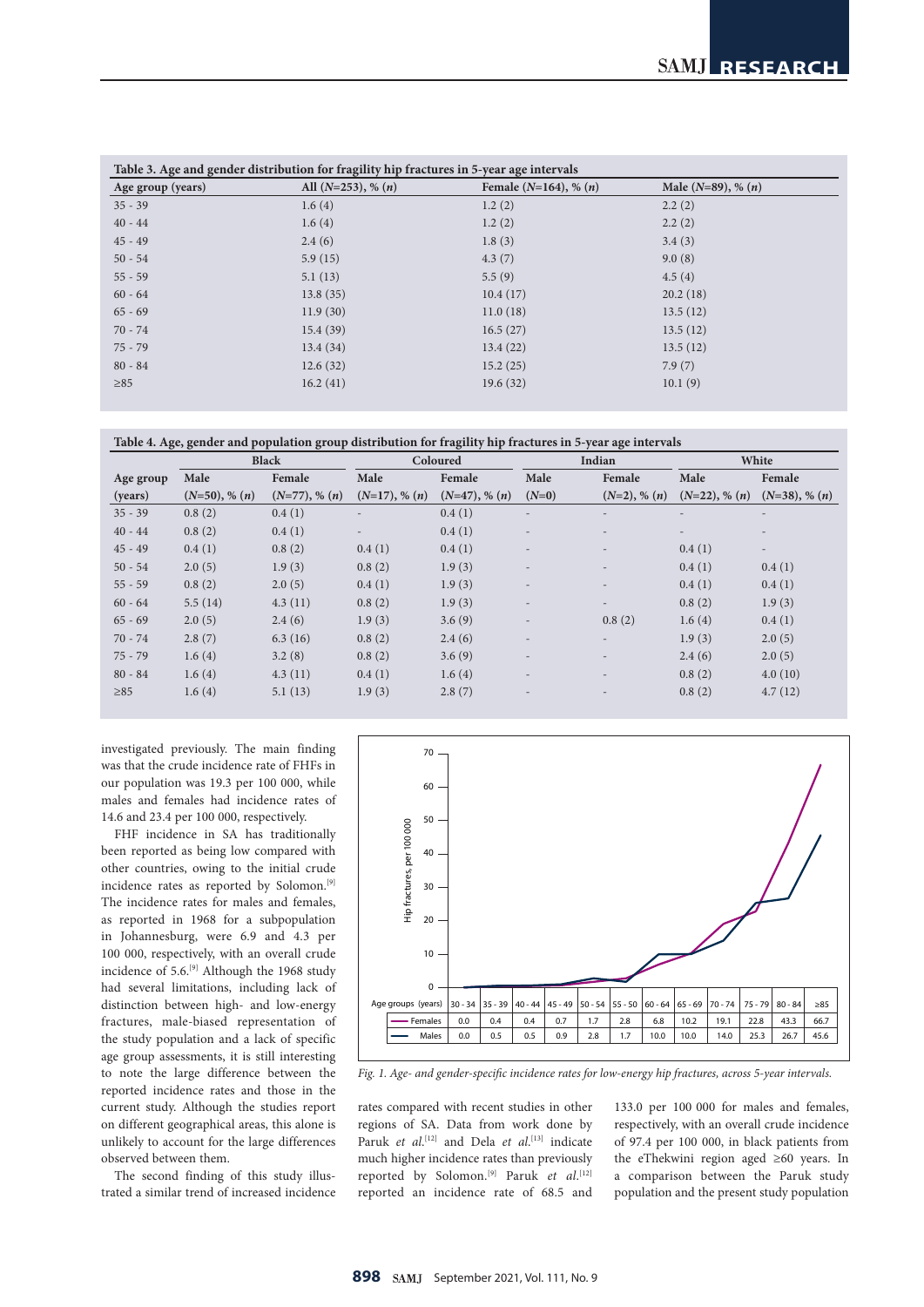| Age group (years) | All $(N=253)$ , % $(n)$ | Female $(N=164)$ , % $(n)$ | Male $(N=89)$ , % $(n)$ |
|-------------------|-------------------------|----------------------------|-------------------------|
| $35 - 39$         | 1.6(4)                  | 1.2(2)                     | 2.2(2)                  |
| $40 - 44$         | 1.6(4)                  | 1.2(2)                     | 2.2(2)                  |
| $45 - 49$         | 2.4(6)                  | 1.8(3)                     | 3.4(3)                  |
| $50 - 54$         | 5.9(15)                 | 4.3(7)                     | 9.0(8)                  |
| $55 - 59$         | 5.1(13)                 | 5.5(9)                     | 4.5(4)                  |
| $60 - 64$         | 13.8(35)                | 10.4(17)                   | 20.2(18)                |
| $65 - 69$         | 11.9(30)                | 11.0(18)                   | 13.5(12)                |
| $70 - 74$         | 15.4(39)                | 16.5(27)                   | 13.5(12)                |
| $75 - 79$         | 13.4(34)                | 13.4(22)                   | 13.5(12)                |
| $80 - 84$         | 12.6(32)                | 15.2(25)                   | 7.9(7)                  |
| $\geq 85$         | 16.2(41)                | 19.6(32)                   | 10.1(9)                 |

| Table 4. Age, gender and population group distribution for fragility hip fractures in 5-year age intervals |  |  |
|------------------------------------------------------------------------------------------------------------|--|--|
|                                                                                                            |  |  |

| <b>Black</b> |                    | Coloured        |                    | Indian          |                          | White                    |                          |                          |
|--------------|--------------------|-----------------|--------------------|-----------------|--------------------------|--------------------------|--------------------------|--------------------------|
| Age group    | Male               | Female          | Male               | Female          | Male                     | Female                   | Male                     | Female                   |
| (years)      | $(N=50)$ , % $(n)$ | $(N=77), % (n)$ | $(N=17)$ , % $(n)$ | $(N=47), % (n)$ | $(N=0)$                  | $(N=2)$ , % $(n)$        | $(N=22)$ , % $(n)$       | $(N=38)$ , % $(n)$       |
| $35 - 39$    | 0.8(2)             | 0.4(1)          |                    | 0.4(1)          |                          |                          | ۰                        | $\overline{\phantom{0}}$ |
| $40 - 44$    | 0.8(2)             | 0.4(1)          |                    | 0.4(1)          |                          |                          | $\overline{\phantom{a}}$ |                          |
| $45 - 49$    | 0.4(1)             | 0.8(2)          | 0.4(1)             | 0.4(1)          | $\overline{\phantom{a}}$ | $\overline{\phantom{a}}$ | 0.4(1)                   | $\overline{\phantom{a}}$ |
| $50 - 54$    | 2.0(5)             | 1.9(3)          | 0.8(2)             | 1.9(3)          |                          | $\overline{\phantom{a}}$ | 0.4(1)                   | 0.4(1)                   |
| $55 - 59$    | 0.8(2)             | 2.0(5)          | 0.4(1)             | 1.9(3)          |                          | $\overline{a}$           | 0.4(1)                   | 0.4(1)                   |
| $60 - 64$    | 5.5(14)            | 4.3(11)         | 0.8(2)             | 1.9(3)          |                          | $\overline{\phantom{a}}$ | 0.8(2)                   | 1.9(3)                   |
| $65 - 69$    | 2.0(5)             | 2.4(6)          | 1.9(3)             | 3.6(9)          |                          | 0.8(2)                   | 1.6(4)                   | 0.4(1)                   |
| $70 - 74$    | 2.8(7)             | 6.3(16)         | 0.8(2)             | 2.4(6)          |                          | $\overline{\phantom{a}}$ | 1.9(3)                   | 2.0(5)                   |
| $75 - 79$    | 1.6(4)             | 3.2(8)          | 0.8(2)             | 3.6(9)          | $\overline{\phantom{a}}$ | $\overline{\phantom{a}}$ | 2.4(6)                   | 2.0(5)                   |
| $80 - 84$    | 1.6(4)             | 4.3(11)         | 0.4(1)             | 1.6(4)          |                          | $\overline{\phantom{a}}$ | 0.8(2)                   | 4.0(10)                  |
| $\geq 85$    | 1.6(4)             | 5.1(13)         | 1.9(3)             | 2.8(7)          |                          |                          | 0.8(2)                   | 4.7(12)                  |

investigated previously. The main finding was that the crude incidence rate of FHFs in our population was 19.3 per 100 000, while males and females had incidence rates of 14.6 and 23.4 per 100 000, respectively.

FHF incidence in SA has traditionally been reported as being low compared with other countries, owing to the initial crude incidence rates as reported by Solomon.[9] The incidence rates for males and females, as reported in 1968 for a subpopulation in Johannesburg, were 6.9 and 4.3 per 100 000, respectively, with an overall crude incidence of 5.6.<sup>[9]</sup> Although the 1968 study had several limitations, including lack of distinction between high- and low-energy fractures, male-biased representation of the study population and a lack of specific age group assessments, it is still interesting to note the large difference between the reported incidence rates and those in the current study. Although the studies report on different geographical areas, this alone is unlikely to account for the large differences observed between them.

The second finding of this study illustrated a similar trend of increased incidence



*Fig. 1. Age- and gender-specific incidence rates for low-energy hip fractures, across 5-year intervals.*

rates compared with recent studies in other regions of SA. Data from work done by Paruk *et al.*<sup>[12]</sup> and Dela *et al.*<sup>[13]</sup> indicate much higher incidence rates than previously reported by Solomon.<sup>[9]</sup> Paruk et al.<sup>[12]</sup> reported an incidence rate of 68.5 and

133.0 per 100 000 for males and females, respectively, with an overall crude incidence of 97.4 per 100 000, in black patients from the eThekwini region aged ≥60 years. In a comparison between the Paruk study population and the present study population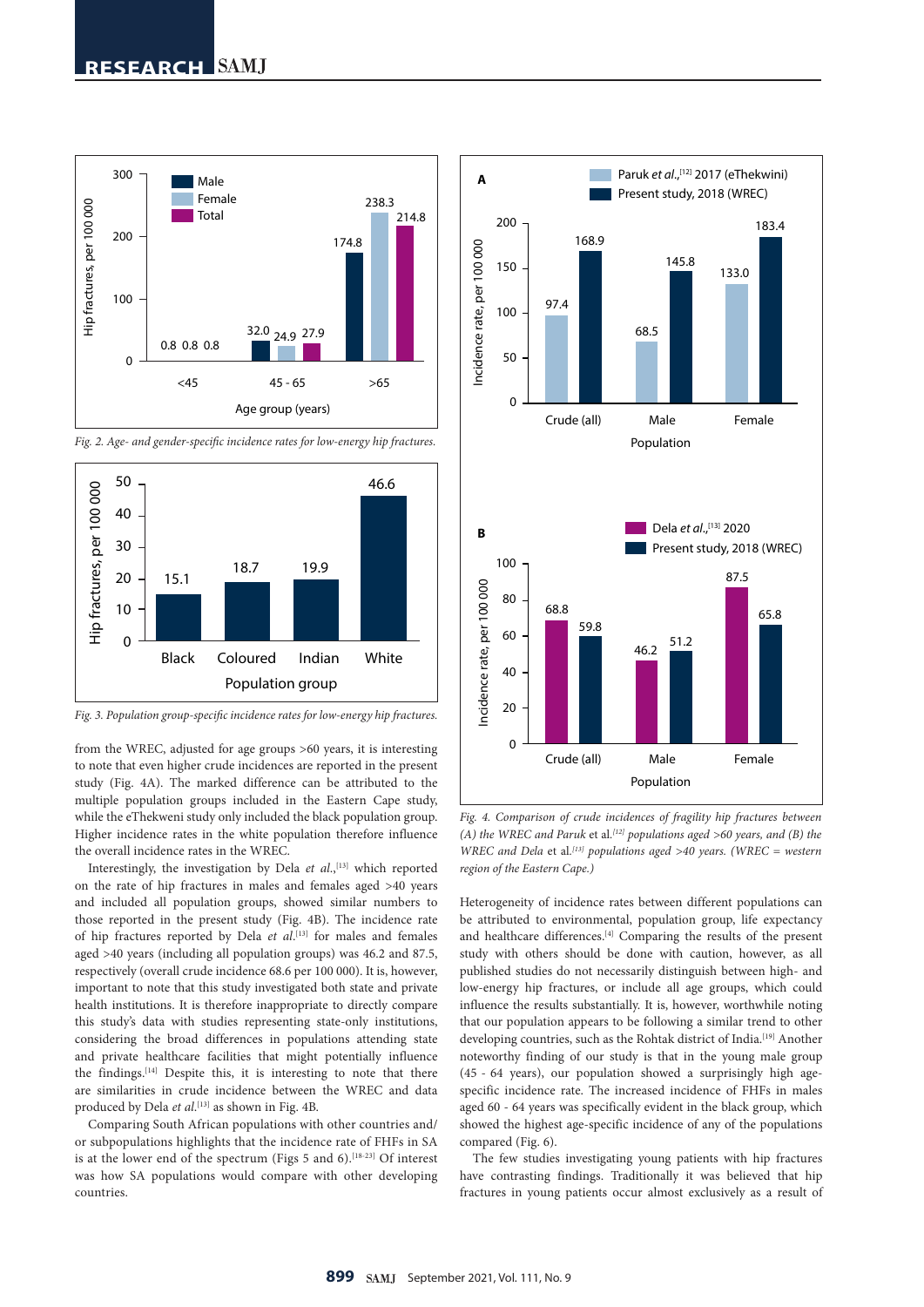

*Fig. 2. Age- and gender-specific incidence rates for low-energy hip fractures.*



*Fig. 3. Population group-specific incidence rates for low-energy hip fractures.*

from the WREC, adjusted for age groups >60 years, it is interesting to note that even higher crude incidences are reported in the present study (Fig. 4A). The marked difference can be attributed to the multiple population groups included in the Eastern Cape study, while the eThekweni study only included the black population group. Higher incidence rates in the white population therefore influence the overall incidence rates in the WREC.

Interestingly, the investigation by Dela et al.,<sup>[13]</sup> which reported on the rate of hip fractures in males and females aged >40 years and included all population groups, showed similar numbers to those reported in the present study (Fig. 4B). The incidence rate of hip fractures reported by Dela *et al*. [13] for males and females aged >40 years (including all population groups) was 46.2 and 87.5, respectively (overall crude incidence 68.6 per 100 000). It is, however, important to note that this study investigated both state and private health institutions. It is therefore inappropriate to directly compare this study's data with studies representing state-only institutions, considering the broad differences in populations attending state and private healthcare facilities that might potentially influence the findings.<sup>[14]</sup> Despite this, it is interesting to note that there are similarities in crude incidence between the WREC and data produced by Dela *et al*. [13] as shown in Fig. 4B.

Comparing South African populations with other countries and/ or subpopulations highlights that the incidence rate of FHFs in SA is at the lower end of the spectrum (Figs 5 and 6).<sup>[18-23]</sup> Of interest was how SA populations would compare with other developing countries.



*Fig. 4. Comparison of crude incidences of fragility hip fractures between (A) the WREC and Paruk* et al*. [12] populations aged >60 years, and (B) the WREC and Dela* et al*. [13] populations aged >40 years. (WREC = western region of the Eastern Cape.)*

Heterogeneity of incidence rates between different populations can be attributed to environmental, population group, life expectancy and healthcare differences.[4] Comparing the results of the present study with others should be done with caution, however, as all published studies do not necessarily distinguish between high- and low-energy hip fractures, or include all age groups, which could influence the results substantially. It is, however, worthwhile noting that our population appears to be following a similar trend to other developing countries, such as the Rohtak district of India.<sup>[19]</sup> Another noteworthy finding of our study is that in the young male group (45 - 64 years), our population showed a surprisingly high agespecific incidence rate. The increased incidence of FHFs in males aged 60 - 64 years was specifically evident in the black group, which showed the highest age-specific incidence of any of the populations compared (Fig. 6).

The few studies investigating young patients with hip fractures have contrasting findings. Traditionally it was believed that hip fractures in young patients occur almost exclusively as a result of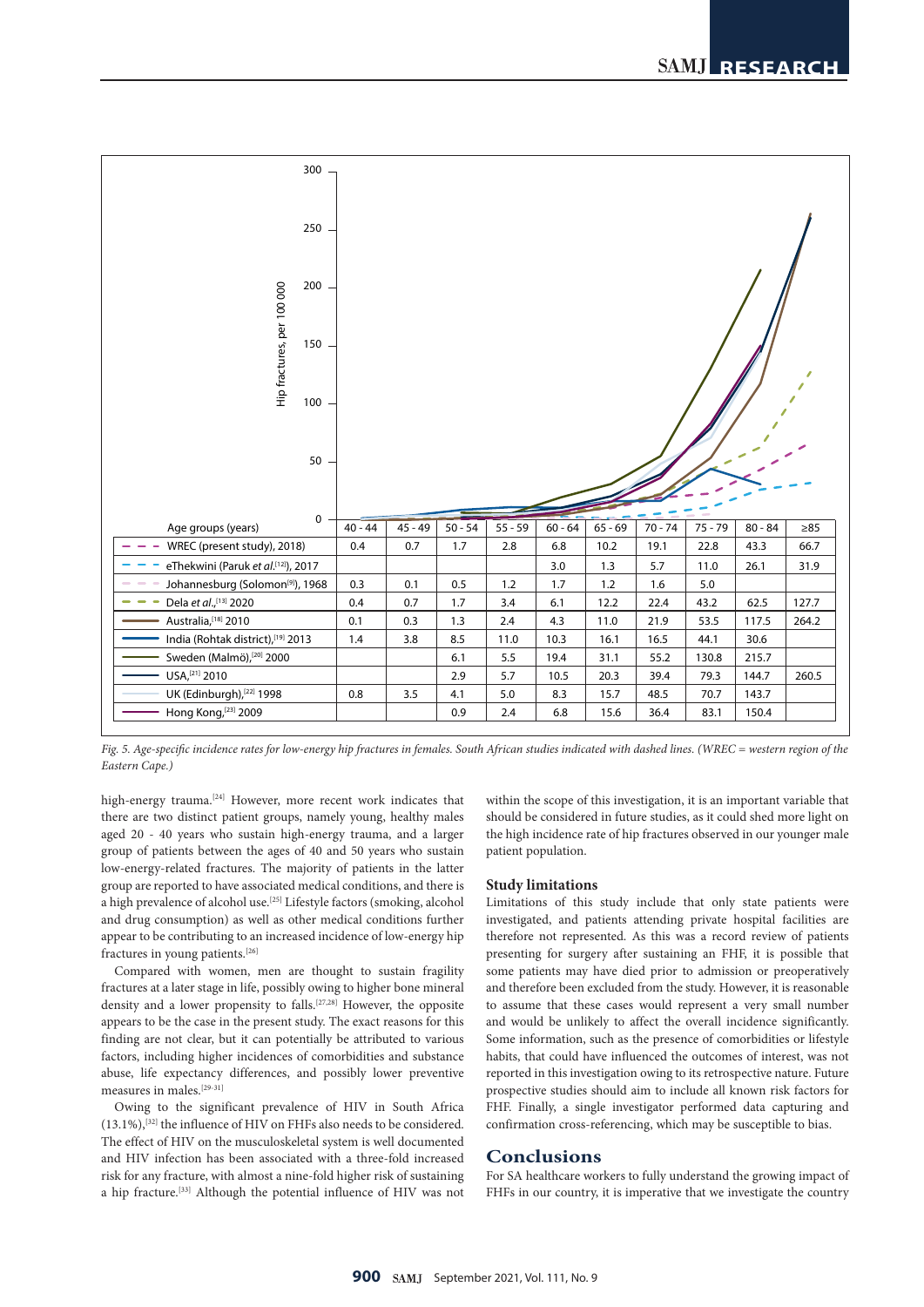

*Fig. 5. Age-specific incidence rates for low-energy hip fractures in females. South African studies indicated with dashed lines. (WREC = western region of the Eastern Cape.)*

high-energy trauma.<sup>[24]</sup> However, more recent work indicates that there are two distinct patient groups, namely young, healthy males aged 20 - 40 years who sustain high-energy trauma, and a larger group of patients between the ages of 40 and 50 years who sustain low-energy-related fractures. The majority of patients in the latter group are reported to have associated medical conditions, and there is a high prevalence of alcohol use.[25] Lifestyle factors (smoking, alcohol and drug consumption) as well as other medical conditions further appear to be contributing to an increased incidence of low-energy hip fractures in young patients.[26]

Compared with women, men are thought to sustain fragility fractures at a later stage in life, possibly owing to higher bone mineral density and a lower propensity to falls.[27,28] However, the opposite appears to be the case in the present study. The exact reasons for this finding are not clear, but it can potentially be attributed to various factors, including higher incidences of comorbidities and substance abuse, life expectancy differences, and possibly lower preventive measures in males.<sup>[29-31]</sup>

Owing to the significant prevalence of HIV in South Africa  $(13.1\%)$ ,  $[32]$  the influence of HIV on FHFs also needs to be considered. The effect of HIV on the musculoskeletal system is well documented and HIV infection has been associated with a three-fold increased risk for any fracture, with almost a nine-fold higher risk of sustaining a hip fracture.[33] Although the potential influence of HIV was not within the scope of this investigation, it is an important variable that should be considered in future studies, as it could shed more light on the high incidence rate of hip fractures observed in our younger male patient population.

#### **Study limitations**

Limitations of this study include that only state patients were investigated, and patients attending private hospital facilities are therefore not represented. As this was a record review of patients presenting for surgery after sustaining an FHF, it is possible that some patients may have died prior to admission or preoperatively and therefore been excluded from the study. However, it is reasonable to assume that these cases would represent a very small number and would be unlikely to affect the overall incidence significantly. Some information, such as the presence of comorbidities or lifestyle habits, that could have influenced the outcomes of interest, was not reported in this investigation owing to its retrospective nature. Future prospective studies should aim to include all known risk factors for FHF. Finally, a single investigator performed data capturing and confirmation cross-referencing, which may be susceptible to bias.

#### **Conclusions**

For SA healthcare workers to fully understand the growing impact of FHFs in our country, it is imperative that we investigate the country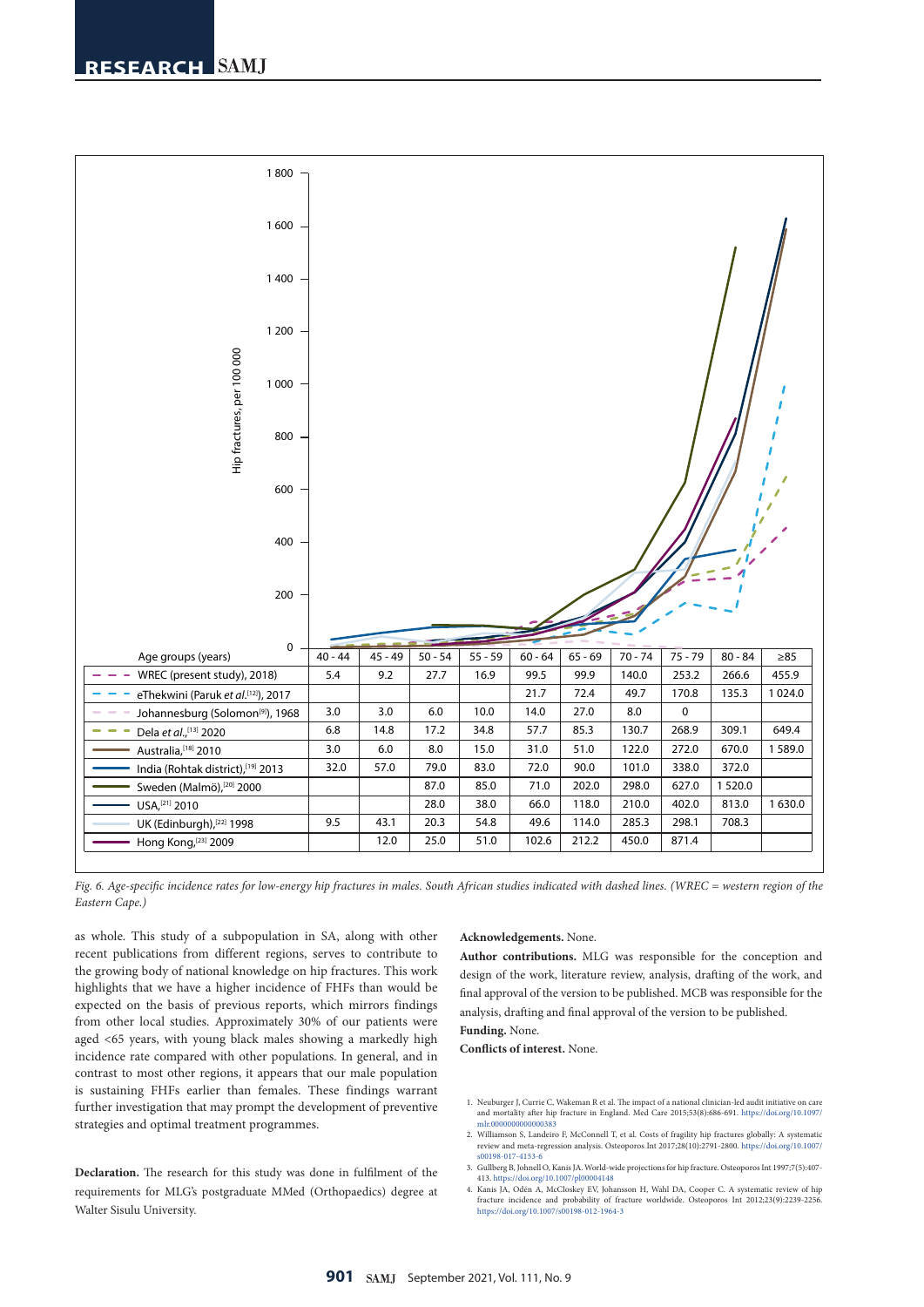

*Fig. 6. Age-specific incidence rates for low-energy hip fractures in males. South African studies indicated with dashed lines. (WREC = western region of the Eastern Cape.)*

as whole. This study of a subpopulation in SA, along with other recent publications from different regions, serves to contribute to the growing body of national knowledge on hip fractures. This work highlights that we have a higher incidence of FHFs than would be expected on the basis of previous reports, which mirrors findings from other local studies. Approximately 30% of our patients were aged <65 years, with young black males showing a markedly high incidence rate compared with other populations. In general, and in contrast to most other regions, it appears that our male population is sustaining FHFs earlier than females. These findings warrant further investigation that may prompt the development of preventive strategies and optimal treatment programmes.

**Declaration.** The research for this study was done in fulfilment of the requirements for MLG's postgraduate MMed (Orthopaedics) degree at Walter Sisulu University.

#### **Acknowledgements.** None.

**Author contributions.** MLG was responsible for the conception and design of the work, literature review, analysis, drafting of the work, and final approval of the version to be published. MCB was responsible for the analysis, drafting and final approval of the version to be published.

#### **Funding.** None.

**Conflicts of interest.** None.

- 1. Neuburger J, Currie C, Wakeman R et al. The impact of a national clinician-led audit initiative on care and mortality after hip fracture in England. Med Care 2015;53(8):686-691. [https://doi.org/10.1097/](https://doi.org/10.1097/mlr.0000000000000383)<br>mlr.000000000000
- 2. Williamson S, Landeiro F, McConnell T, et al. Costs of fragility hip fractures globally: A systematic review and meta-regression analysis. Osteoporos Int 2017;28(10):2791-2800. [https://doi.org/10.1007/](https://doi.org/10.1007/s00198-017-4153-6) [s00198-017-4153-6](https://doi.org/10.1007/s00198-017-4153-6)
- 3. Gullberg B, Johnell O, Kanis JA. World-wide projections for hip fracture. Osteoporos Int 1997;7(5):407-
- 413. <https://doi.org/10.1007/pl00004148> 4. Kanis JA, Odén A, McCloskey EV, Johansson H, Wahl DA, Cooper C. A systematic review of hip fracture incidence and probability of fracture worldwide. Osteoporos Int 2012;23(9):2239-2256. <https://doi.org/10.1007/s00198-012-1964-3>